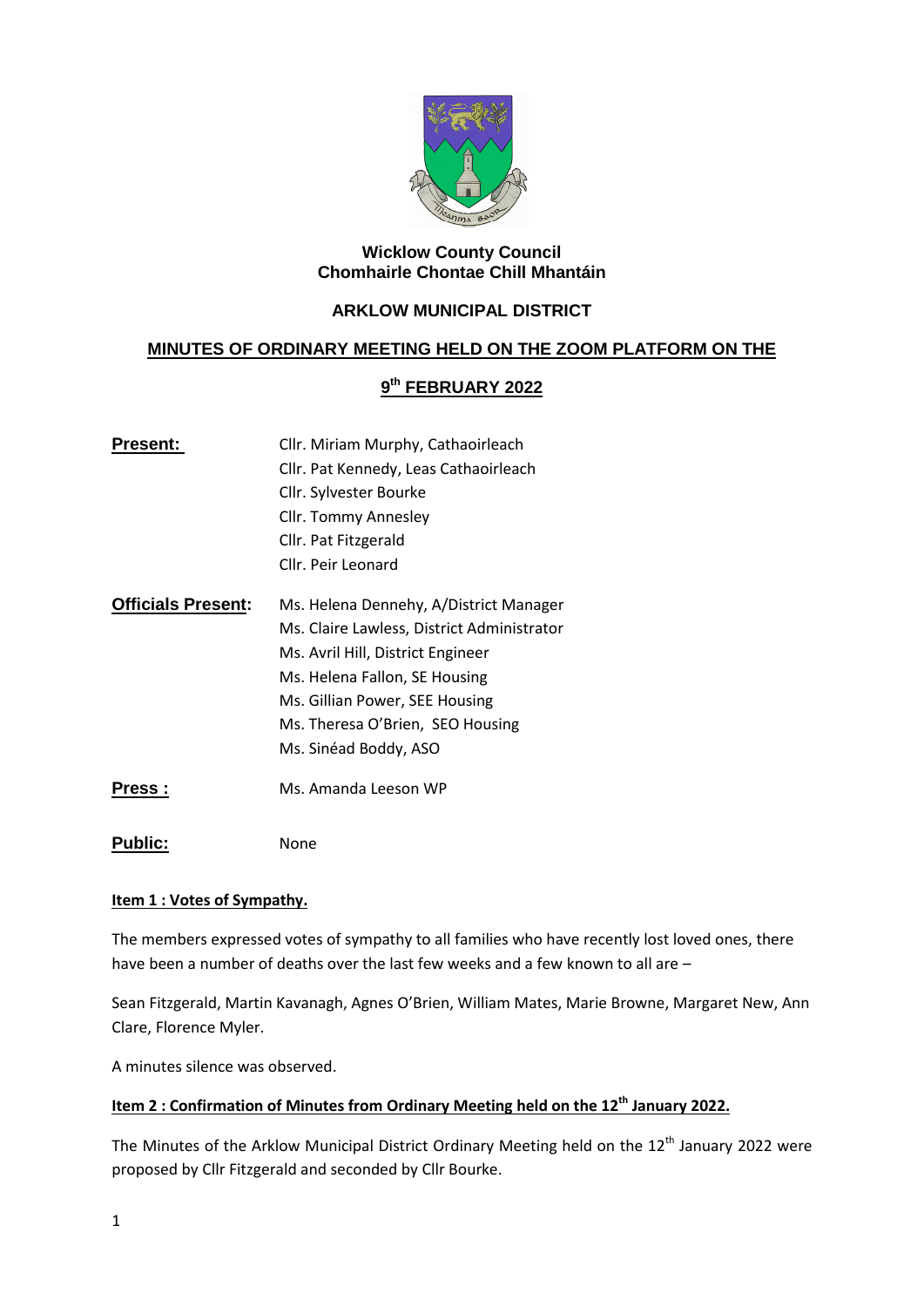

### **Wicklow County Council Chomhairle Chontae Chill Mhantáin**

# **ARKLOW MUNICIPAL DISTRICT**

## **MINUTES OF ORDINARY MEETING HELD ON THE ZOOM PLATFORM ON THE**

# **9 th FEBRUARY 2022**

| Present:                  | Cllr. Miriam Murphy, Cathaoirleach         |
|---------------------------|--------------------------------------------|
|                           | Cllr. Pat Kennedy, Leas Cathaoirleach      |
|                           | Cllr. Sylvester Bourke                     |
|                           | Cllr. Tommy Annesley                       |
|                           | Cllr. Pat Fitzgerald                       |
|                           | Cllr. Peir Leonard                         |
| <b>Officials Present:</b> | Ms. Helena Dennehy, A/District Manager     |
|                           | Ms. Claire Lawless, District Administrator |
|                           | Ms. Avril Hill, District Engineer          |
|                           | Ms. Helena Fallon, SE Housing              |
|                           | Ms. Gillian Power, SEE Housing             |
|                           | Ms. Theresa O'Brien, SEO Housing           |
|                           | Ms. Sinéad Boddy, ASO                      |
| ess                       | Ms. Amanda Leeson WP                       |

Public: None

### **Item 1 : Votes of Sympathy.**

The members expressed votes of sympathy to all families who have recently lost loved ones, there have been a number of deaths over the last few weeks and a few known to all are –

Sean Fitzgerald, Martin Kavanagh, Agnes O'Brien, William Mates, Marie Browne, Margaret New, Ann Clare, Florence Myler.

A minutes silence was observed.

# **Item 2 : Confirmation of Minutes from Ordinary Meeting held on the 12th January 2022.**

The Minutes of the Arklow Municipal District Ordinary Meeting held on the 12<sup>th</sup> January 2022 were proposed by Cllr Fitzgerald and seconded by Cllr Bourke.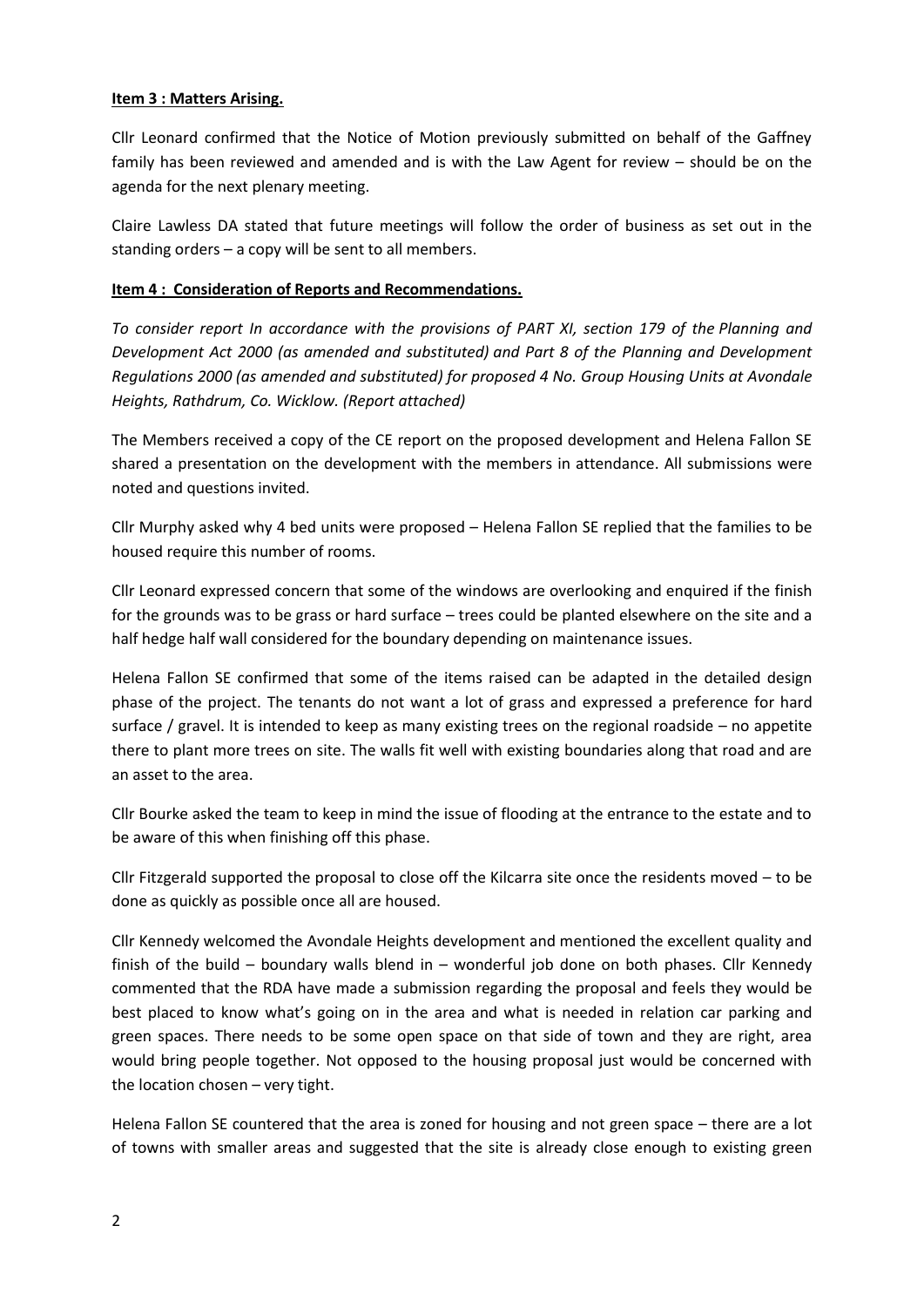### **Item 3 : Matters Arising.**

Cllr Leonard confirmed that the Notice of Motion previously submitted on behalf of the Gaffney family has been reviewed and amended and is with the Law Agent for review – should be on the agenda for the next plenary meeting.

Claire Lawless DA stated that future meetings will follow the order of business as set out in the standing orders – a copy will be sent to all members.

### **Item 4 : Consideration of Reports and Recommendations.**

*To consider report In accordance with the provisions of PART XI, section 179 of the Planning and Development Act 2000 (as amended and substituted) and Part 8 of the Planning and Development Regulations 2000 (as amended and substituted) for proposed 4 No. Group Housing Units at Avondale Heights, Rathdrum, Co. Wicklow. (Report attached)*

The Members received a copy of the CE report on the proposed development and Helena Fallon SE shared a presentation on the development with the members in attendance. All submissions were noted and questions invited.

Cllr Murphy asked why 4 bed units were proposed – Helena Fallon SE replied that the families to be housed require this number of rooms.

Cllr Leonard expressed concern that some of the windows are overlooking and enquired if the finish for the grounds was to be grass or hard surface – trees could be planted elsewhere on the site and a half hedge half wall considered for the boundary depending on maintenance issues.

Helena Fallon SE confirmed that some of the items raised can be adapted in the detailed design phase of the project. The tenants do not want a lot of grass and expressed a preference for hard surface / gravel. It is intended to keep as many existing trees on the regional roadside – no appetite there to plant more trees on site. The walls fit well with existing boundaries along that road and are an asset to the area.

Cllr Bourke asked the team to keep in mind the issue of flooding at the entrance to the estate and to be aware of this when finishing off this phase.

Cllr Fitzgerald supported the proposal to close off the Kilcarra site once the residents moved – to be done as quickly as possible once all are housed.

Cllr Kennedy welcomed the Avondale Heights development and mentioned the excellent quality and finish of the build – boundary walls blend in – wonderful job done on both phases. Cllr Kennedy commented that the RDA have made a submission regarding the proposal and feels they would be best placed to know what's going on in the area and what is needed in relation car parking and green spaces. There needs to be some open space on that side of town and they are right, area would bring people together. Not opposed to the housing proposal just would be concerned with the location chosen – very tight.

Helena Fallon SE countered that the area is zoned for housing and not green space – there are a lot of towns with smaller areas and suggested that the site is already close enough to existing green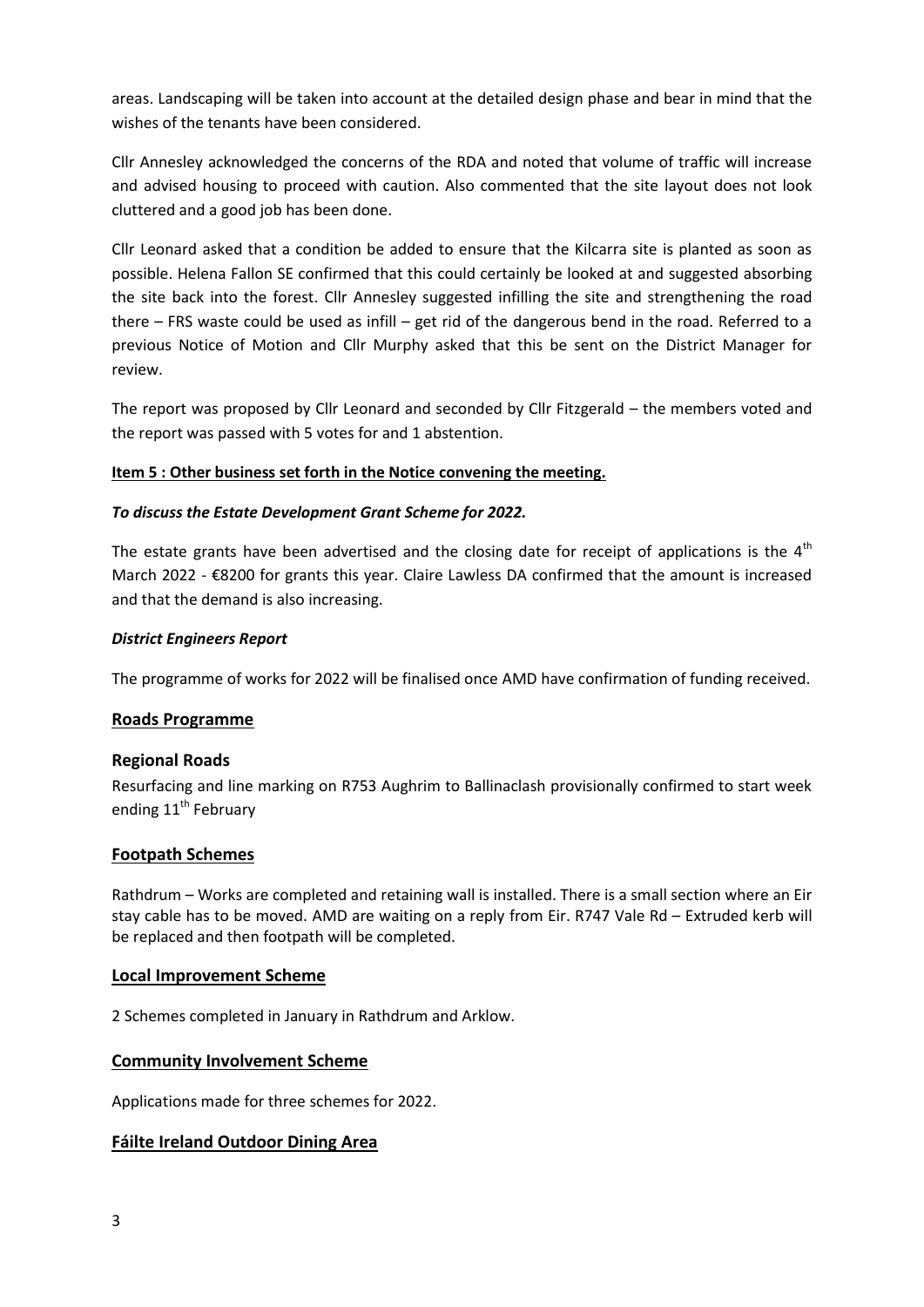areas. Landscaping will be taken into account at the detailed design phase and bear in mind that the wishes of the tenants have been considered.

Cllr Annesley acknowledged the concerns of the RDA and noted that volume of traffic will increase and advised housing to proceed with caution. Also commented that the site layout does not look cluttered and a good job has been done.

Cllr Leonard asked that a condition be added to ensure that the Kilcarra site is planted as soon as possible. Helena Fallon SE confirmed that this could certainly be looked at and suggested absorbing the site back into the forest. Cllr Annesley suggested infilling the site and strengthening the road there – FRS waste could be used as infill – get rid of the dangerous bend in the road. Referred to a previous Notice of Motion and Cllr Murphy asked that this be sent on the District Manager for review.

The report was proposed by Cllr Leonard and seconded by Cllr Fitzgerald – the members voted and the report was passed with 5 votes for and 1 abstention.

## **Item 5 : Other business set forth in the Notice convening the meeting.**

## *To discuss the Estate Development Grant Scheme for 2022.*

The estate grants have been advertised and the closing date for receipt of applications is the  $4<sup>th</sup>$ March 2022 - €8200 for grants this year. Claire Lawless DA confirmed that the amount is increased and that the demand is also increasing.

## *District Engineers Report*

The programme of works for 2022 will be finalised once AMD have confirmation of funding received.

## **Roads Programme**

## **Regional Roads**

Resurfacing and line marking on R753 Aughrim to Ballinaclash provisionally confirmed to start week ending 11<sup>th</sup> February

## **Footpath Schemes**

Rathdrum – Works are completed and retaining wall is installed. There is a small section where an Eir stay cable has to be moved. AMD are waiting on a reply from Eir. R747 Vale Rd – Extruded kerb will be replaced and then footpath will be completed.

## **Local Improvement Scheme**

2 Schemes completed in January in Rathdrum and Arklow.

## **Community Involvement Scheme**

Applications made for three schemes for 2022.

## **Fáilte Ireland Outdoor Dining Area**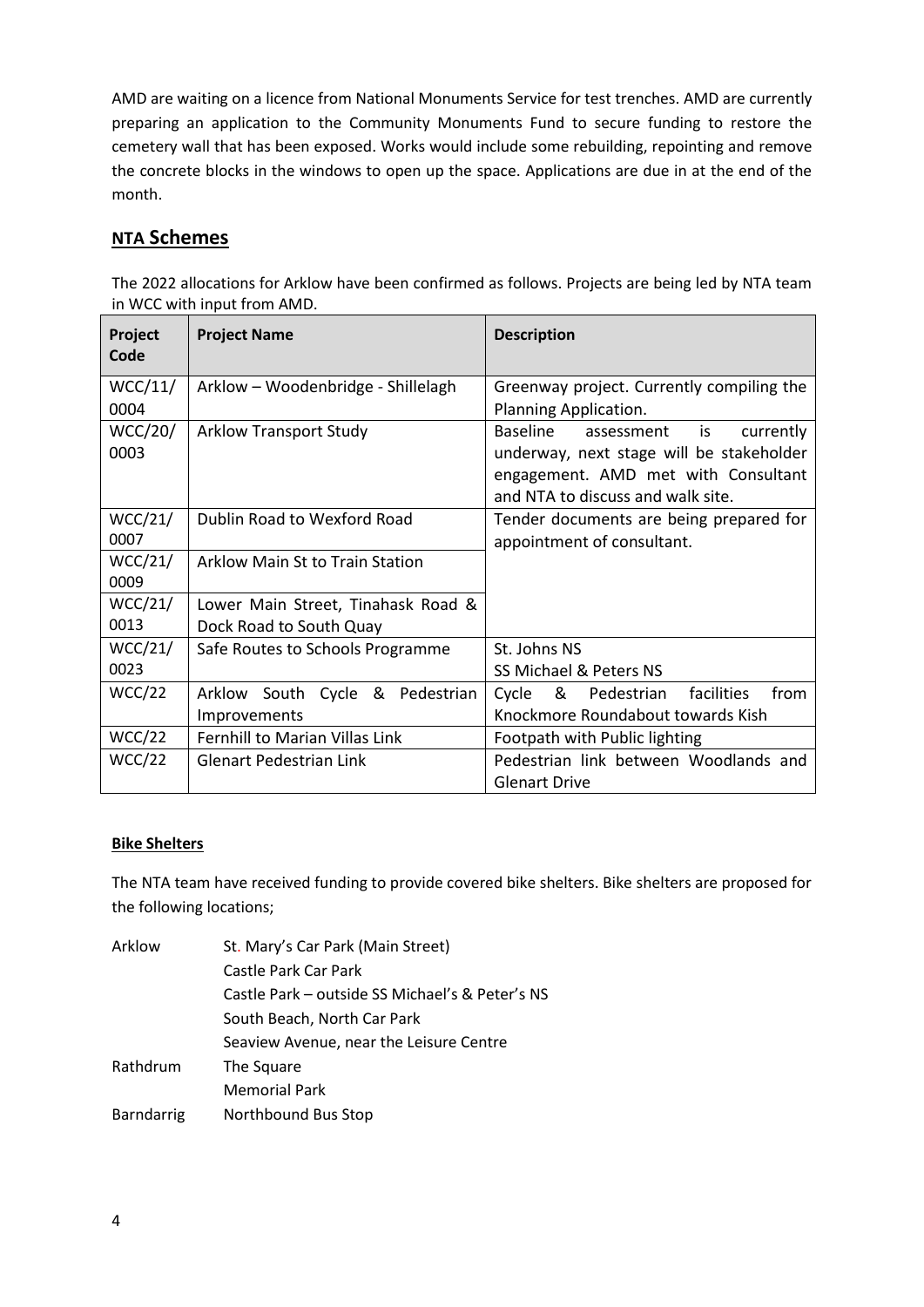AMD are waiting on a licence from National Monuments Service for test trenches. AMD are currently preparing an application to the Community Monuments Fund to secure funding to restore the cemetery wall that has been exposed. Works would include some rebuilding, repointing and remove the concrete blocks in the windows to open up the space. Applications are due in at the end of the month.

# **NTA Schemes**

| The 2022 allocations for Arklow have been confirmed as follows. Projects are being led by NTA team |  |
|----------------------------------------------------------------------------------------------------|--|
| in WCC with input from AMD.                                                                        |  |
|                                                                                                    |  |

| Project<br>Code | <b>Project Name</b>                    | <b>Description</b>                          |
|-----------------|----------------------------------------|---------------------------------------------|
| WCC/11/         | Arklow - Woodenbridge - Shillelagh     | Greenway project. Currently compiling the   |
| 0004            |                                        | Planning Application.                       |
| <b>WCC/20/</b>  | <b>Arklow Transport Study</b>          | Baseline<br>currently<br>assessment<br>is   |
| 0003            |                                        | underway, next stage will be stakeholder    |
|                 |                                        | engagement. AMD met with Consultant         |
|                 |                                        | and NTA to discuss and walk site.           |
| WCC/21/         | Dublin Road to Wexford Road            | Tender documents are being prepared for     |
| 0007            |                                        | appointment of consultant.                  |
| WCC/21/         | <b>Arklow Main St to Train Station</b> |                                             |
| 0009            |                                        |                                             |
| WCC/21/         | Lower Main Street, Tinahask Road &     |                                             |
| 0013            | Dock Road to South Quay                |                                             |
| WCC/21/         | Safe Routes to Schools Programme       | St. Johns NS                                |
| 0023            |                                        | SS Michael & Peters NS                      |
| WCC/22          | Arklow South Cycle & Pedestrian        | & Pedestrian<br>from<br>facilities<br>Cycle |
|                 | Improvements                           | Knockmore Roundabout towards Kish           |
| WCC/22          | Fernhill to Marian Villas Link         | Footpath with Public lighting               |
| WCC/22          | <b>Glenart Pedestrian Link</b>         | Pedestrian link between Woodlands and       |
|                 |                                        | <b>Glenart Drive</b>                        |

## **Bike Shelters**

The NTA team have received funding to provide covered bike shelters. Bike shelters are proposed for the following locations;

| Arklow            | St. Mary's Car Park (Main Street)               |
|-------------------|-------------------------------------------------|
|                   | Castle Park Car Park                            |
|                   | Castle Park - outside SS Michael's & Peter's NS |
|                   | South Beach, North Car Park                     |
|                   | Seaview Avenue, near the Leisure Centre         |
| Rathdrum          | The Square                                      |
|                   | <b>Memorial Park</b>                            |
| <b>Barndarrig</b> | Northbound Bus Stop                             |
|                   |                                                 |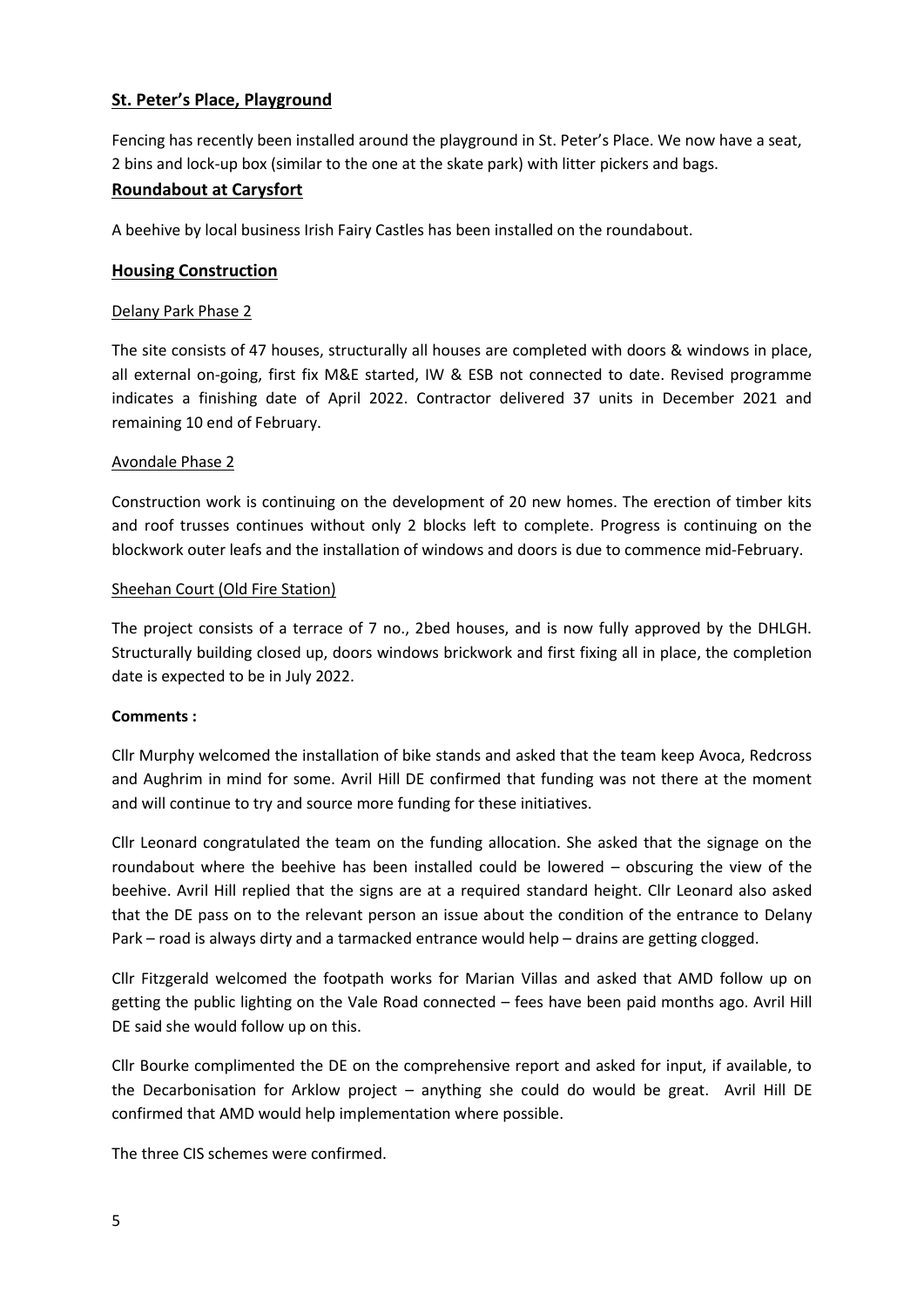## **St. Peter's Place, Playground**

Fencing has recently been installed around the playground in St. Peter's Place. We now have a seat, 2 bins and lock-up box (similar to the one at the skate park) with litter pickers and bags.

## **Roundabout at Carysfort**

A beehive by local business Irish Fairy Castles has been installed on the roundabout.

## **Housing Construction**

## Delany Park Phase 2

The site consists of 47 houses, structurally all houses are completed with doors & windows in place, all external on-going, first fix M&E started, IW & ESB not connected to date. Revised programme indicates a finishing date of April 2022. Contractor delivered 37 units in December 2021 and remaining 10 end of February.

## Avondale Phase 2

Construction work is continuing on the development of 20 new homes. The erection of timber kits and roof trusses continues without only 2 blocks left to complete. Progress is continuing on the blockwork outer leafs and the installation of windows and doors is due to commence mid-February.

### Sheehan Court (Old Fire Station)

The project consists of a terrace of 7 no., 2bed houses, and is now fully approved by the DHLGH. Structurally building closed up, doors windows brickwork and first fixing all in place, the completion date is expected to be in July 2022.

## **Comments :**

Cllr Murphy welcomed the installation of bike stands and asked that the team keep Avoca, Redcross and Aughrim in mind for some. Avril Hill DE confirmed that funding was not there at the moment and will continue to try and source more funding for these initiatives.

Cllr Leonard congratulated the team on the funding allocation. She asked that the signage on the roundabout where the beehive has been installed could be lowered – obscuring the view of the beehive. Avril Hill replied that the signs are at a required standard height. Cllr Leonard also asked that the DE pass on to the relevant person an issue about the condition of the entrance to Delany Park – road is always dirty and a tarmacked entrance would help – drains are getting clogged.

Cllr Fitzgerald welcomed the footpath works for Marian Villas and asked that AMD follow up on getting the public lighting on the Vale Road connected – fees have been paid months ago. Avril Hill DE said she would follow up on this.

Cllr Bourke complimented the DE on the comprehensive report and asked for input, if available, to the Decarbonisation for Arklow project – anything she could do would be great. Avril Hill DE confirmed that AMD would help implementation where possible.

The three CIS schemes were confirmed.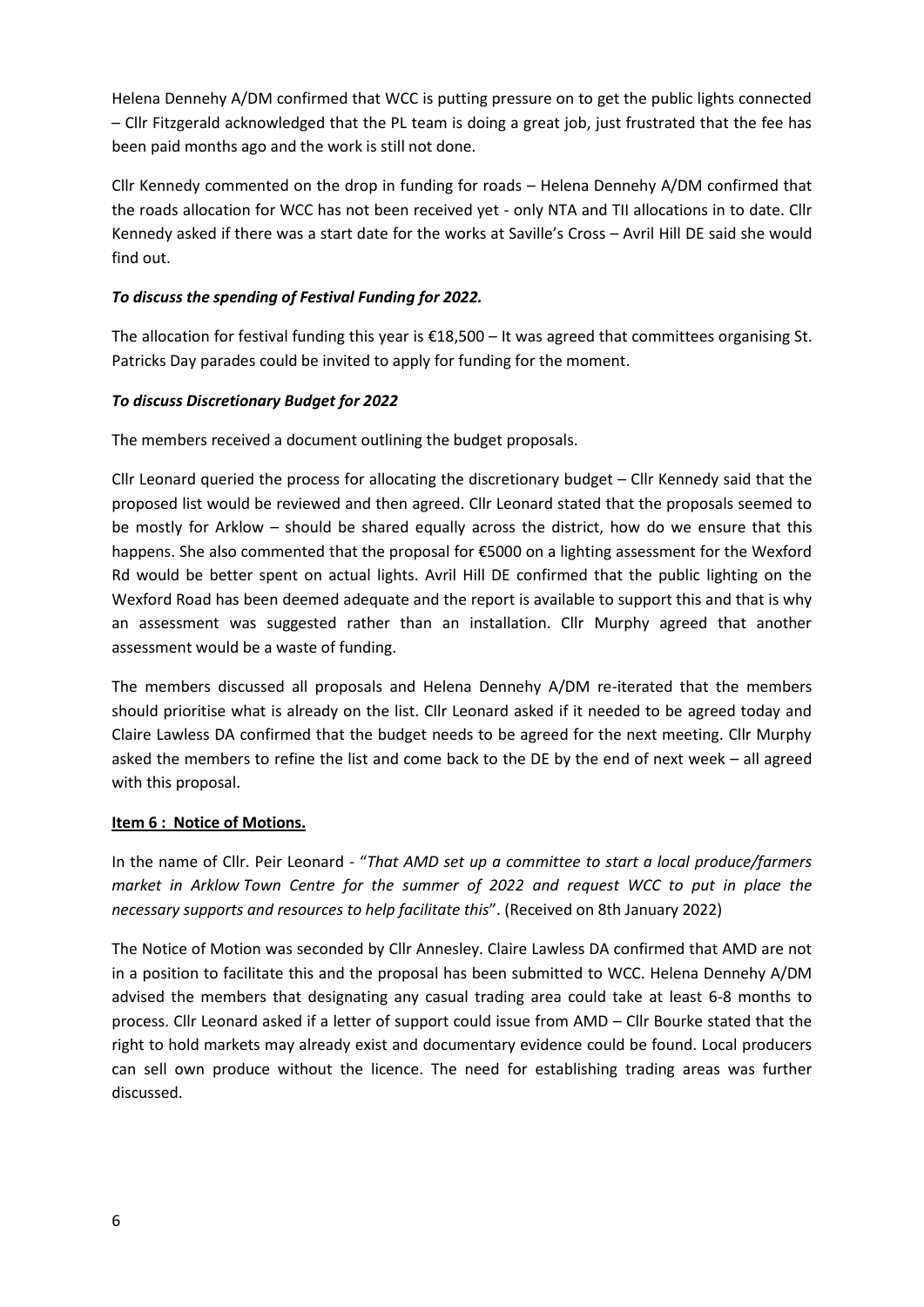Helena Dennehy A/DM confirmed that WCC is putting pressure on to get the public lights connected – Cllr Fitzgerald acknowledged that the PL team is doing a great job, just frustrated that the fee has been paid months ago and the work is still not done.

Cllr Kennedy commented on the drop in funding for roads – Helena Dennehy A/DM confirmed that the roads allocation for WCC has not been received yet - only NTA and TII allocations in to date. Cllr Kennedy asked if there was a start date for the works at Saville's Cross – Avril Hill DE said she would find out.

# *To discuss the spending of Festival Funding for 2022.*

The allocation for festival funding this year is €18,500 – It was agreed that committees organising St. Patricks Day parades could be invited to apply for funding for the moment.

## *To discuss Discretionary Budget for 2022*

The members received a document outlining the budget proposals.

Cllr Leonard queried the process for allocating the discretionary budget – Cllr Kennedy said that the proposed list would be reviewed and then agreed. Cllr Leonard stated that the proposals seemed to be mostly for Arklow – should be shared equally across the district, how do we ensure that this happens. She also commented that the proposal for €5000 on a lighting assessment for the Wexford Rd would be better spent on actual lights. Avril Hill DE confirmed that the public lighting on the Wexford Road has been deemed adequate and the report is available to support this and that is why an assessment was suggested rather than an installation. Cllr Murphy agreed that another assessment would be a waste of funding.

The members discussed all proposals and Helena Dennehy A/DM re-iterated that the members should prioritise what is already on the list. Cllr Leonard asked if it needed to be agreed today and Claire Lawless DA confirmed that the budget needs to be agreed for the next meeting. Cllr Murphy asked the members to refine the list and come back to the DE by the end of next week – all agreed with this proposal.

## **Item 6 : Notice of Motions.**

In the name of Cllr. Peir Leonard - "*That AMD set up a committee to start a local produce/farmers market in Arklow Town Centre for the summer of 2022 and request WCC to put in place the necessary supports and resources to help facilitate this*". (Received on 8th January 2022)

The Notice of Motion was seconded by Cllr Annesley. Claire Lawless DA confirmed that AMD are not in a position to facilitate this and the proposal has been submitted to WCC. Helena Dennehy A/DM advised the members that designating any casual trading area could take at least 6-8 months to process. Cllr Leonard asked if a letter of support could issue from AMD – Cllr Bourke stated that the right to hold markets may already exist and documentary evidence could be found. Local producers can sell own produce without the licence. The need for establishing trading areas was further discussed.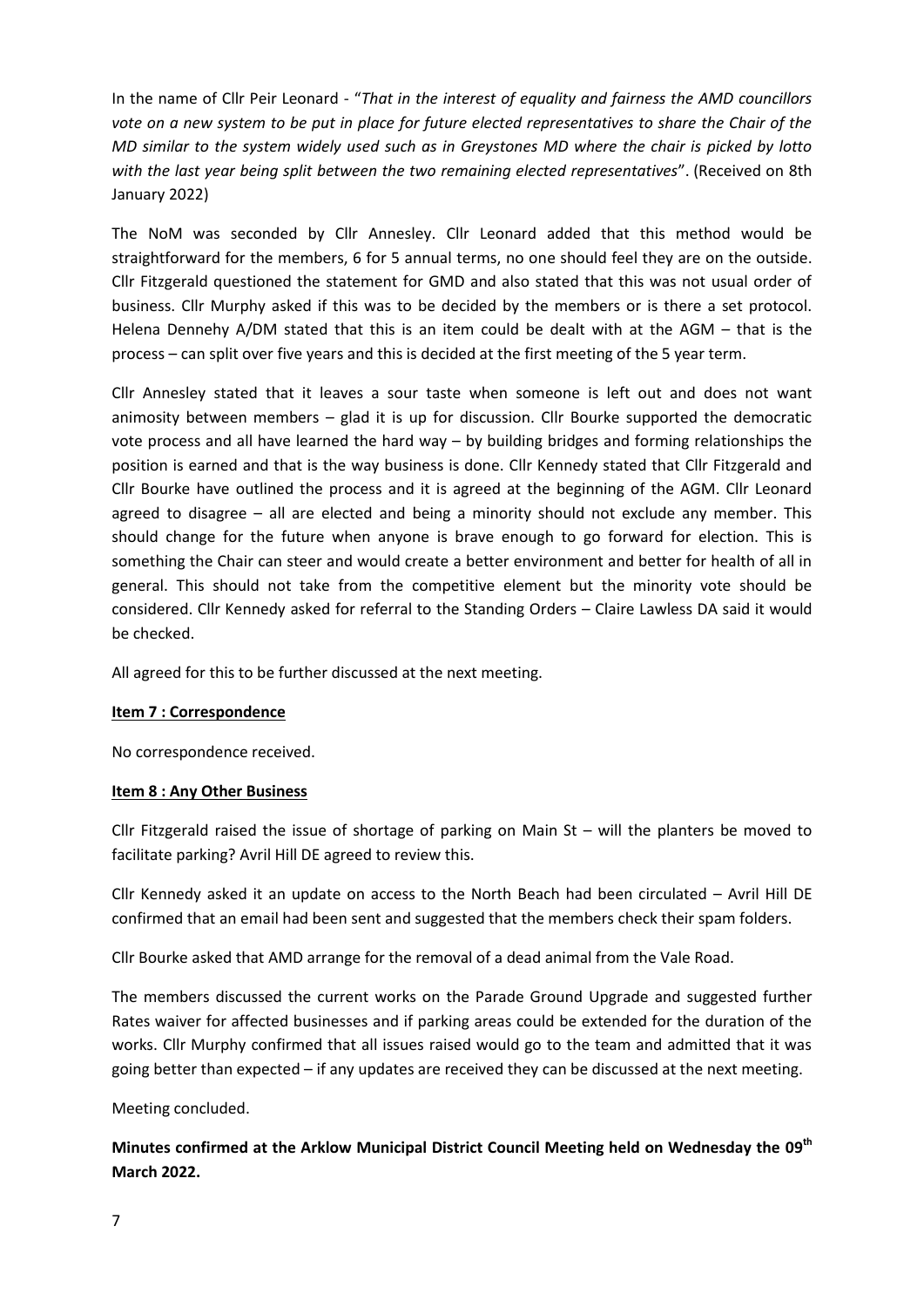In the name of Cllr Peir Leonard - "*That in the interest of equality and fairness the AMD councillors vote on a new system to be put in place for future elected representatives to share the Chair of the MD similar to the system widely used such as in Greystones MD where the chair is picked by lotto with the last year being split between the two remaining elected representatives*". (Received on 8th January 2022)

The NoM was seconded by Cllr Annesley. Cllr Leonard added that this method would be straightforward for the members, 6 for 5 annual terms, no one should feel they are on the outside. Cllr Fitzgerald questioned the statement for GMD and also stated that this was not usual order of business. Cllr Murphy asked if this was to be decided by the members or is there a set protocol. Helena Dennehy A/DM stated that this is an item could be dealt with at the AGM – that is the process – can split over five years and this is decided at the first meeting of the 5 year term.

Cllr Annesley stated that it leaves a sour taste when someone is left out and does not want animosity between members – glad it is up for discussion. Cllr Bourke supported the democratic vote process and all have learned the hard way – by building bridges and forming relationships the position is earned and that is the way business is done. Cllr Kennedy stated that Cllr Fitzgerald and Cllr Bourke have outlined the process and it is agreed at the beginning of the AGM. Cllr Leonard agreed to disagree – all are elected and being a minority should not exclude any member. This should change for the future when anyone is brave enough to go forward for election. This is something the Chair can steer and would create a better environment and better for health of all in general. This should not take from the competitive element but the minority vote should be considered. Cllr Kennedy asked for referral to the Standing Orders – Claire Lawless DA said it would be checked.

All agreed for this to be further discussed at the next meeting.

### **Item 7 : Correspondence**

No correspondence received.

### **Item 8 : Any Other Business**

Cllr Fitzgerald raised the issue of shortage of parking on Main St – will the planters be moved to facilitate parking? Avril Hill DE agreed to review this.

Cllr Kennedy asked it an update on access to the North Beach had been circulated – Avril Hill DE confirmed that an email had been sent and suggested that the members check their spam folders.

Cllr Bourke asked that AMD arrange for the removal of a dead animal from the Vale Road.

The members discussed the current works on the Parade Ground Upgrade and suggested further Rates waiver for affected businesses and if parking areas could be extended for the duration of the works. Cllr Murphy confirmed that all issues raised would go to the team and admitted that it was going better than expected – if any updates are received they can be discussed at the next meeting.

Meeting concluded.

**Minutes confirmed at the Arklow Municipal District Council Meeting held on Wednesday the 09th March 2022.**